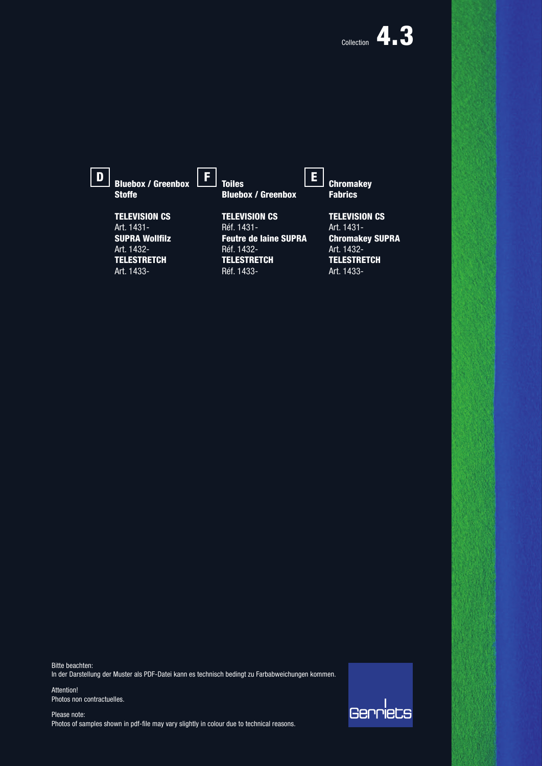| D | <b>Bluebox / Greenbox</b><br><b>Stoffe</b> | <b>Toiles</b><br><b>Bluebox / Greenbox</b> | <b>Chromakey</b><br><b>Fabrics</b> |
|---|--------------------------------------------|--------------------------------------------|------------------------------------|
|   | <b>TELEVISION CS</b>                       | <b>TELEVISION CS</b>                       | <b>TELEVISION CS</b>               |
|   | Art. 1431-                                 | Réf. 1431-                                 | Art. 1431-                         |
|   | <b>SUPRA Wollfilz</b>                      | <b>Feutre de laine SUPRA</b>               | <b>Chromakey SUPRA</b>             |
|   | Art. 1432-                                 | Réf. 1432-                                 | Art. 1432-                         |
|   | <b>TELESTRETCH</b>                         | <b>TELESTRETCH</b>                         | <b>TELESTRETCH</b>                 |
|   | Art. 1433-                                 | Réf. 1433-                                 | Art. 1433-                         |

Bitte beachten: In der Darstellung der Muster als PDF-Datei kann es technisch bedingt zu Farbabweichungen kommen.

Attention! Photos non contractuelles.

Please note: Photos of samples shown in pdf-file may vary slightly in colour due to technical reasons.

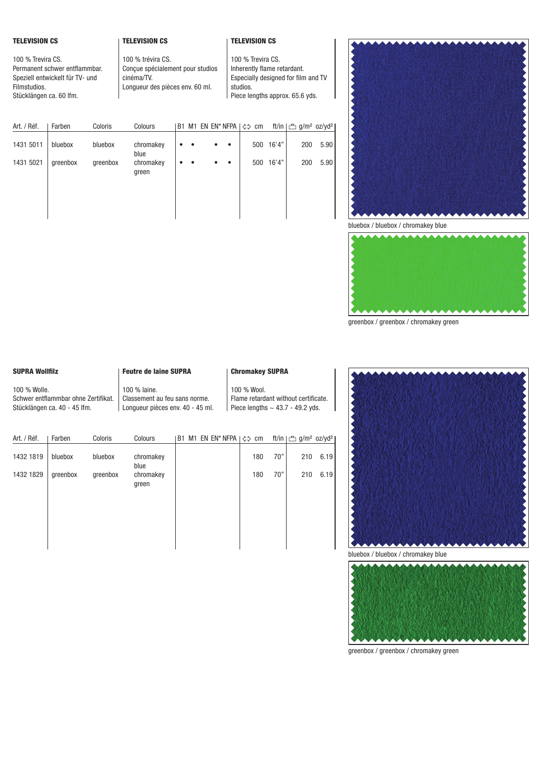## TELEVISION CS

## TELEVISION CS

## TELEVISION CS

100 % Trevira CS. Permanent schwer entflammbar. Speziell entwickelt für TV- und Filmstudios. Stücklängen ca. 60 lfm.

100 % trévira CS. Conçue spécialement pour studios cinéma/TV. Longueur des pièces env. 60 ml.

100 % Trevira CS. Inherently flame retardant. Especially designed for film and TV studios. Piece lengths approx. 65.6 yds.

| Art. / Réf. | Farben   | Coloris  | Colours            | <b>B1</b> |  |           | M1 EN EN* NFPA $ \Leftrightarrow$ cm |           | ft/in   凸 g/m <sup>2</sup> oz/yd <sup>2</sup> |      |
|-------------|----------|----------|--------------------|-----------|--|-----------|--------------------------------------|-----------|-----------------------------------------------|------|
| 1431 5011   | bluebox  | bluebox  | chromakey<br>blue  |           |  | $\bullet$ |                                      | 500 16'4" | 200                                           | 5.90 |
| 1431 5021   | greenbox | greenbox | chromakey<br>green |           |  | $\bullet$ |                                      | 500 16'4" | 200                                           | 5.90 |
|             |          |          |                    |           |  |           |                                      |           |                                               |      |
|             |          |          |                    |           |  |           |                                      |           |                                               |      |



bluebox / bluebox / chromakey blue



greenbox / greenbox / chromakey green

#### SUPRA Wollfilz

Schwer entflammbar ohne Zertifikat. Stücklängen ca. 40 - 45 lfm.

100 % Wolle.

#### Feutre de laine SUPRA

Classement au feu sans norme. Longueur pièces env. 40 - 45 ml.

100 % laine.

### Chromakey SUPRA

100 % Wool. Flame retardant without certificate. Piece lengths  $\sim$  43.7 - 49.2 yds.

| Art. / Réf. | Farben   | Coloris  | Colours            | <b>B1</b> |  | M1 EN EN* NFPA $ \Leftrightarrow$ cm |            | ft/in   凸 g/m <sup>2</sup> oz/yd <sup>2</sup> |      |
|-------------|----------|----------|--------------------|-----------|--|--------------------------------------|------------|-----------------------------------------------|------|
| 1432 1819   | bluebox  | bluebox  | chromakey<br>blue  |           |  |                                      | 70"<br>180 | 210                                           | 6.19 |
| 1432 1829   | greenbox | greenbox | chromakey<br>green |           |  |                                      | 70"<br>180 | 210                                           | 6.19 |
|             |          |          |                    |           |  |                                      |            |                                               |      |





greenbox / greenbox / chromakey green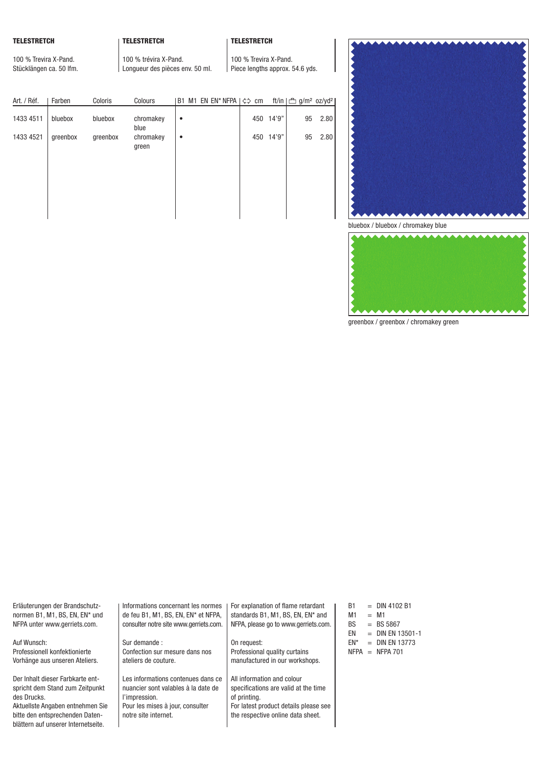## TELESTRETCH

100 % Trevira X-Pand. Stücklängen ca. 50 lfm.

blättern auf unserer Internetseite.

## TELESTRETCH

100 % trévira X-Pand. Longueur des pièces env. 50 ml.

# TELESTRETCH

100 % Trevira X-Pand. Piece lengths approx. 54.6 yds.

| Art. / Réf. | Farben   | Coloris  | Colours            |   |  | B1 M1 EN EN* NFPA $ \Leftrightarrow$ cm |     |        | ft/in   凸 g/m <sup>2</sup> oz/yd <sup>2</sup> |      |
|-------------|----------|----------|--------------------|---|--|-----------------------------------------|-----|--------|-----------------------------------------------|------|
| 1433 4511   | bluebox  | bluebox  | chromakey<br>blue  | ٠ |  |                                         | 450 | 14'9"  | 95                                            | 2.80 |
| 1433 4521   | greenbox | greenbox | chromakey<br>green | ٠ |  |                                         | 450 | 14'9'' | 95                                            | 2.80 |



bluebox / bluebox / chromakey blue



greenbox / greenbox / chromakey green

| Erläuterungen der Brandschutz-   | Informations concernant les normes     | For explanation of flame retardant    | <b>B1</b>   |     | $=$ DIN 4102 B1     |
|----------------------------------|----------------------------------------|---------------------------------------|-------------|-----|---------------------|
| normen B1, M1, BS, EN, EN* und   | de feu B1, M1, BS, EN, EN* et NFPA,    | standards B1, M1, BS, EN, EN* and     | M1          |     | $=$ M1              |
| NFPA unter www.gerriets.com.     | consulter notre site www.gerriets.com. | NFPA, please go to www.gerriets.com.  | BS.         |     | $=$ BS 5867         |
|                                  |                                        |                                       | EN          |     | $=$ DIN EN 13501-1  |
| Auf Wunsch:                      | Sur demande:                           | On request:                           | EN*         | $=$ | <b>DIN EN 13773</b> |
| Professionell konfektionierte    | Confection sur mesure dans nos         | Professional quality curtains         | <b>NFPA</b> | $=$ | NFPA 701            |
| Vorhänge aus unseren Ateliers.   | ateliers de couture.                   | manufactured in our workshops.        |             |     |                     |
| Der Inhalt dieser Farbkarte ent- | Les informations contenues dans ce     | All information and colour            |             |     |                     |
| spricht dem Stand zum Zeitpunkt  | nuancier sont valables à la date de    | specifications are valid at the time  |             |     |                     |
| des Drucks.                      | l'impression.                          | of printing.                          |             |     |                     |
| Aktuellste Angaben entnehmen Sie | Pour les mises à jour, consulter       | For latest product details please see |             |     |                     |
| bitte den entsprechenden Daten-  | notre site internet.                   | the respective online data sheet.     |             |     |                     |